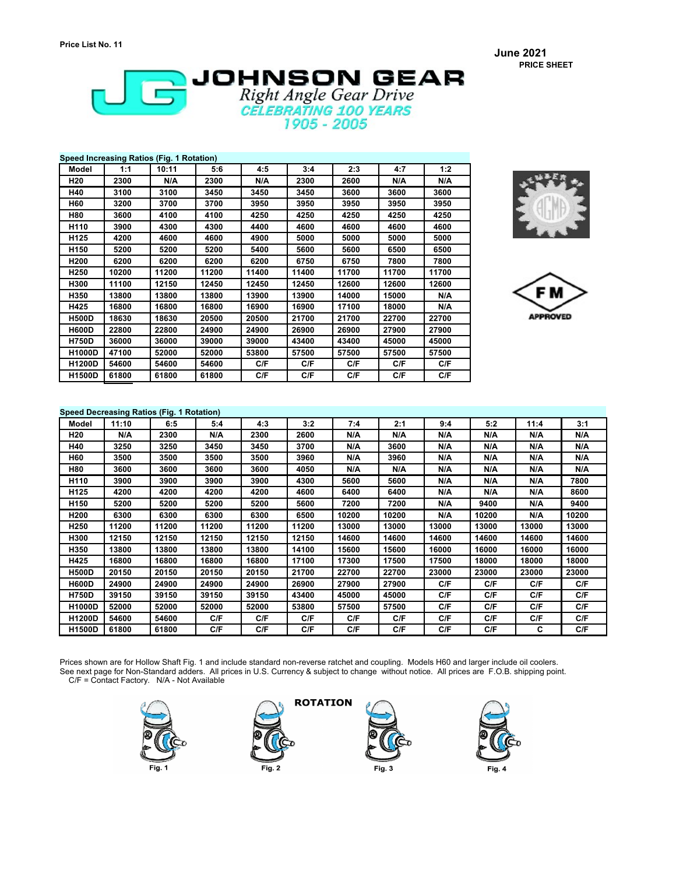**June 2021 PRICE SHEET**



| Speed Increasing Ratios (Fig. 1 Rotation) |       |       |       |       |       |       |       |       |  |
|-------------------------------------------|-------|-------|-------|-------|-------|-------|-------|-------|--|
| <b>Model</b>                              | 1:1   | 10:11 | 5:6   | 4:5   | 3:4   | 2:3   | 4:7   | 1:2   |  |
| H <sub>20</sub>                           | 2300  | N/A   | 2300  | N/A   | 2300  | 2600  | N/A   | N/A   |  |
| H40                                       | 3100  | 3100  | 3450  | 3450  | 3450  | 3600  | 3600  | 3600  |  |
| H60                                       | 3200  | 3700  | 3700  | 3950  | 3950  | 3950  | 3950  | 3950  |  |
| H80                                       | 3600  | 4100  | 4100  | 4250  | 4250  | 4250  | 4250  | 4250  |  |
| H110                                      | 3900  | 4300  | 4300  | 4400  | 4600  | 4600  | 4600  | 4600  |  |
| H125                                      | 4200  | 4600  | 4600  | 4900  | 5000  | 5000  | 5000  | 5000  |  |
| H <sub>150</sub>                          | 5200  | 5200  | 5200  | 5400  | 5600  | 5600  | 6500  | 6500  |  |
| H <sub>200</sub>                          | 6200  | 6200  | 6200  | 6200  | 6750  | 6750  | 7800  | 7800  |  |
| H <sub>250</sub>                          | 10200 | 11200 | 11200 | 11400 | 11400 | 11700 | 11700 | 11700 |  |
| H300                                      | 11100 | 12150 | 12450 | 12450 | 12450 | 12600 | 12600 | 12600 |  |
| H350                                      | 13800 | 13800 | 13800 | 13900 | 13900 | 14000 | 15000 | N/A   |  |
| H425                                      | 16800 | 16800 | 16800 | 16900 | 16900 | 17100 | 18000 | N/A   |  |
| <b>H500D</b>                              | 18630 | 18630 | 20500 | 20500 | 21700 | 21700 | 22700 | 22700 |  |
| <b>H600D</b>                              | 22800 | 22800 | 24900 | 24900 | 26900 | 26900 | 27900 | 27900 |  |
| <b>H750D</b>                              | 36000 | 36000 | 39000 | 39000 | 43400 | 43400 | 45000 | 45000 |  |
| <b>H1000D</b>                             | 47100 | 52000 | 52000 | 53800 | 57500 | 57500 | 57500 | 57500 |  |
| <b>H1200D</b>                             | 54600 | 54600 | 54600 | C/F   | C/F   | C/F   | C/F   | C/F   |  |
| <b>H1500D</b>                             | 61800 | 61800 | 61800 | C/F   | C/F   | C/F   | C/F   | C/F   |  |



F M **APPROVED** 

#### **Speed Decreasing Ratios (Fig. 1 Rotation)**

| opeed Decreasing Ratios (Fig. 1 Rotation) |       |       |       |       |       |       |       |       |       |       |       |
|-------------------------------------------|-------|-------|-------|-------|-------|-------|-------|-------|-------|-------|-------|
| Model                                     | 11:10 | 6:5   | 5:4   | 4:3   | 3:2   | 7:4   | 2:1   | 9:4   | 5:2   | 11:4  | 3:1   |
| H20                                       | N/A   | 2300  | N/A   | 2300  | 2600  | N/A   | N/A   | N/A   | N/A   | N/A   | N/A   |
| H40                                       | 3250  | 3250  | 3450  | 3450  | 3700  | N/A   | 3600  | N/A   | N/A   | N/A   | N/A   |
| H60                                       | 3500  | 3500  | 3500  | 3500  | 3960  | N/A   | 3960  | N/A   | N/A   | N/A   | N/A   |
| H80                                       | 3600  | 3600  | 3600  | 3600  | 4050  | N/A   | N/A   | N/A   | N/A   | N/A   | N/A   |
| H110                                      | 3900  | 3900  | 3900  | 3900  | 4300  | 5600  | 5600  | N/A   | N/A   | N/A   | 7800  |
| H125                                      | 4200  | 4200  | 4200  | 4200  | 4600  | 6400  | 6400  | N/A   | N/A   | N/A   | 8600  |
| H <sub>150</sub>                          | 5200  | 5200  | 5200  | 5200  | 5600  | 7200  | 7200  | N/A   | 9400  | N/A   | 9400  |
| H200                                      | 6300  | 6300  | 6300  | 6300  | 6500  | 10200 | 10200 | N/A   | 10200 | N/A   | 10200 |
| H250                                      | 11200 | 11200 | 11200 | 11200 | 11200 | 13000 | 13000 | 13000 | 13000 | 13000 | 13000 |
| H300                                      | 12150 | 12150 | 12150 | 12150 | 12150 | 14600 | 14600 | 14600 | 14600 | 14600 | 14600 |
| H350                                      | 13800 | 13800 | 13800 | 13800 | 14100 | 15600 | 15600 | 16000 | 16000 | 16000 | 16000 |
| H425                                      | 16800 | 16800 | 16800 | 16800 | 17100 | 17300 | 17500 | 17500 | 18000 | 18000 | 18000 |
| <b>H500D</b>                              | 20150 | 20150 | 20150 | 20150 | 21700 | 22700 | 22700 | 23000 | 23000 | 23000 | 23000 |
| <b>H600D</b>                              | 24900 | 24900 | 24900 | 24900 | 26900 | 27900 | 27900 | C/F   | C/F   | C/F   | C/F   |
| <b>H750D</b>                              | 39150 | 39150 | 39150 | 39150 | 43400 | 45000 | 45000 | C/F   | C/F   | C/F   | C/F   |
| H1000D                                    | 52000 | 52000 | 52000 | 52000 | 53800 | 57500 | 57500 | C/F   | C/F   | C/F   | C/F   |
| <b>H1200D</b>                             | 54600 | 54600 | C/F   | C/F   | C/F   | C/F   | C/F   | C/F   | C/F   | C/F   | C/F   |
| <b>H1500D</b>                             | 61800 | 61800 | C/F   | C/F   | C/F   | C/F   | C/F   | C/F   | C/F   | C     | C/F   |

Prices shown are for Hollow Shaft Fig. 1 and include standard non-reverse ratchet and coupling. Models H60 and larger include oil coolers. See next page for Non-Standard adders. All prices in U.S. Currency & subject to change without notice. All prices are F.O.B. shipping point.

C/F = Contact Factory. N/A - Not Available







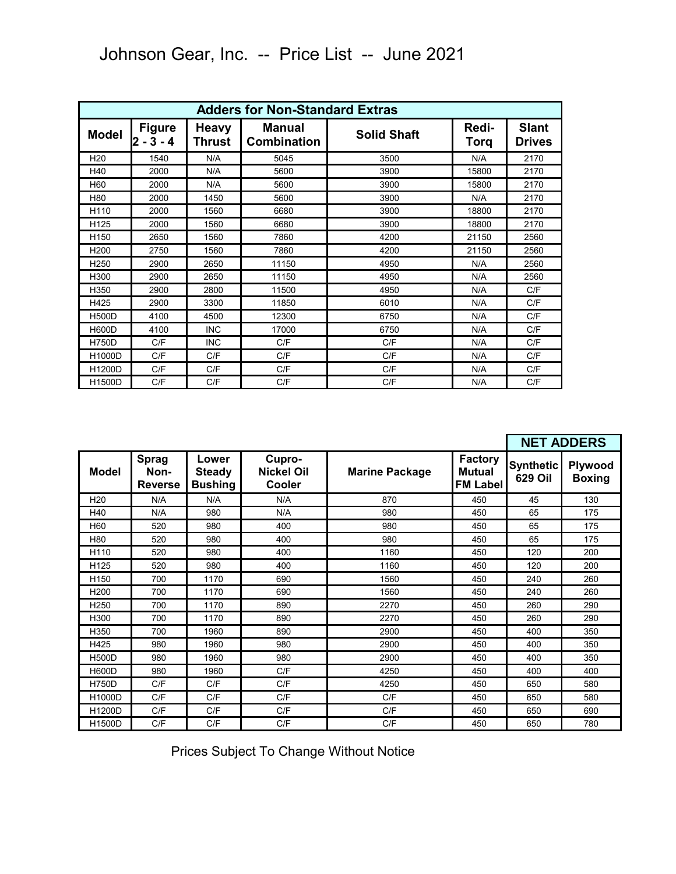|                  | <b>Adders for Non-Standard Extras</b>                  |            |                              |                    |               |                               |  |  |  |  |  |
|------------------|--------------------------------------------------------|------------|------------------------------|--------------------|---------------|-------------------------------|--|--|--|--|--|
| <b>Model</b>     | <b>Figure</b><br><b>Heavy</b><br>$2 - 3 - 4$<br>Thrust |            | Manual<br><b>Combination</b> | <b>Solid Shaft</b> | Redi-<br>Torq | <b>Slant</b><br><b>Drives</b> |  |  |  |  |  |
| H <sub>20</sub>  | 1540                                                   | N/A        | 5045                         | 3500               | N/A           | 2170                          |  |  |  |  |  |
| H40              | 2000                                                   | N/A        | 5600                         | 3900               | 15800         | 2170                          |  |  |  |  |  |
| H <sub>60</sub>  | 2000                                                   | N/A        | 5600                         | 3900               | 15800         | 2170                          |  |  |  |  |  |
| H80              | 2000                                                   | 1450       | 5600                         | 3900               | N/A           | 2170                          |  |  |  |  |  |
| H <sub>110</sub> | 2000                                                   | 1560       | 6680                         | 3900               | 18800         | 2170                          |  |  |  |  |  |
| H <sub>125</sub> | 2000                                                   | 1560       | 6680                         | 3900               | 18800         | 2170                          |  |  |  |  |  |
| H <sub>150</sub> | 2650                                                   | 1560       | 7860                         | 4200               | 21150         | 2560                          |  |  |  |  |  |
| H <sub>200</sub> | 2750                                                   | 1560       | 7860                         | 4200               | 21150         | 2560                          |  |  |  |  |  |
| H <sub>250</sub> | 2900                                                   | 2650       | 11150                        | 4950               | N/A           | 2560                          |  |  |  |  |  |
| H300             | 2900                                                   | 2650       | 11150                        | 4950               | N/A           | 2560                          |  |  |  |  |  |
| H350             | 2900                                                   | 2800       | 11500                        | 4950               | N/A           | C/F                           |  |  |  |  |  |
| H425             | 2900                                                   | 3300       | 11850                        | 6010               | N/A           | C/F                           |  |  |  |  |  |
| <b>H500D</b>     | 4100                                                   | 4500       | 12300                        | 6750               | N/A           | C/F                           |  |  |  |  |  |
| <b>H600D</b>     | 4100                                                   | <b>INC</b> | 17000                        | 6750               | N/A           | C/F                           |  |  |  |  |  |
| <b>H750D</b>     | C/F                                                    | <b>INC</b> | C/F                          | C/F                | N/A           | C/F                           |  |  |  |  |  |
| H1000D           | C/F                                                    | C/F        | C/F                          | C/F                | N/A           | C/F                           |  |  |  |  |  |
| H1200D           | C/F                                                    | C/F        | C/F                          | C/F                | N/A           | C/F                           |  |  |  |  |  |
| <b>H1500D</b>    | C/F                                                    | C/F        | C/F                          | C/F                | N/A           | C/F                           |  |  |  |  |  |

# Johnson Gear, Inc. -- Price List -- June 2021

|                  |                                        |                                          |                                       |                       |                                             |                                    | <b>NET ADDERS</b>        |
|------------------|----------------------------------------|------------------------------------------|---------------------------------------|-----------------------|---------------------------------------------|------------------------------------|--------------------------|
| <b>Model</b>     | <b>Sprag</b><br>Non-<br><b>Reverse</b> | Lower<br><b>Steady</b><br><b>Bushing</b> | Cupro-<br><b>Nickel Oil</b><br>Cooler | <b>Marine Package</b> | <b>Factory</b><br>Mutual<br><b>FM Label</b> | <b>Synthetic</b><br><b>629 Oil</b> | Plywood<br><b>Boxing</b> |
| H <sub>20</sub>  | N/A                                    | N/A                                      | N/A                                   | 870                   | 450                                         | 45                                 | 130                      |
| H40              | N/A                                    | 980                                      | N/A                                   | 980                   | 450                                         | 65                                 | 175                      |
| H60              | 520                                    | 980                                      | 400                                   | 980                   | 450                                         | 65                                 | 175                      |
| H80              | 520                                    | 980                                      | 400                                   | 980                   | 450                                         | 65                                 | 175                      |
| H110             | 520                                    | 980                                      | 400                                   | 1160                  | 450                                         | 120                                | 200                      |
| H125             | 520                                    | 980                                      | 400                                   | 1160                  | 450                                         | 120                                | 200                      |
| H <sub>150</sub> | 700                                    | 1170                                     | 690                                   | 1560                  | 450                                         | 240                                | 260                      |
| H <sub>200</sub> | 700                                    | 1170                                     | 690                                   | 1560                  | 450                                         | 240                                | 260                      |
| H <sub>250</sub> | 700                                    | 1170                                     | 890                                   | 2270                  | 450                                         | 260                                | 290                      |
| H300             | 700                                    | 1170                                     | 890                                   | 2270                  | 450                                         | 260                                | 290                      |
| H350             | 700                                    | 1960                                     | 890                                   | 2900                  | 450                                         | 400                                | 350                      |
| H425             | 980                                    | 1960                                     | 980                                   | 2900                  | 450                                         | 400                                | 350                      |
| <b>H500D</b>     | 980                                    | 1960                                     | 980                                   | 2900                  | 450                                         | 400                                | 350                      |
| <b>H600D</b>     | 980                                    | 1960                                     | C/F                                   | 4250                  | 450                                         | 400                                | 400                      |
| <b>H750D</b>     | C/F                                    | C/F                                      | C/F                                   | 4250                  | 450                                         | 650                                | 580                      |
| H1000D           | C/F                                    | C/F                                      | C/F                                   | C/F                   | 450                                         | 650                                | 580                      |
| H1200D           | C/F                                    | C/F                                      | C/F                                   | C/F                   | 450                                         | 650                                | 690                      |
| H1500D           | C/F                                    | C/F                                      | C/F                                   | C/F                   | 450                                         | 650                                | 780                      |

Prices Subject To Change Without Notice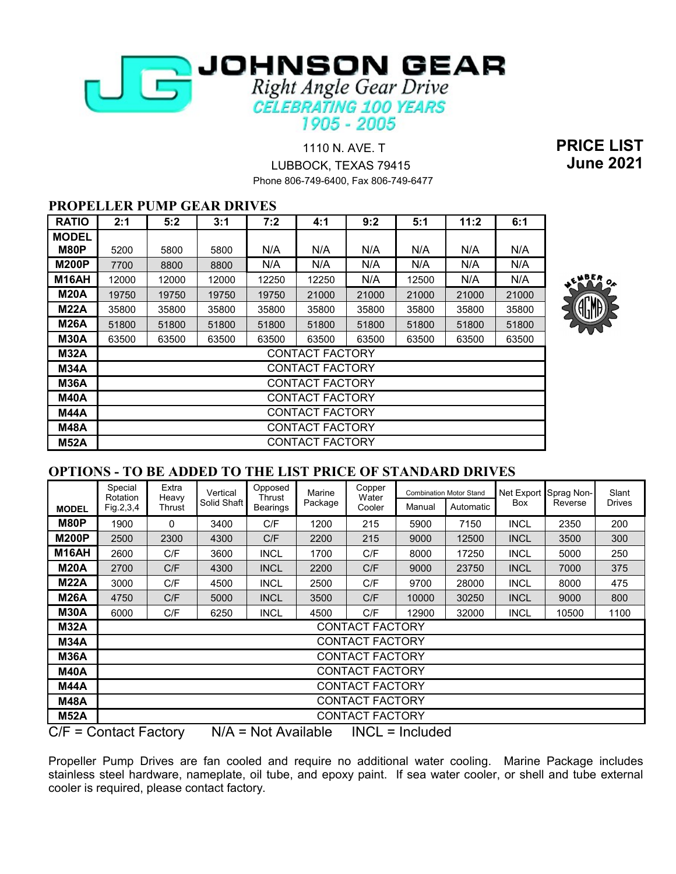

 1110 N. AVE. T **PRICE LIST** LUBBOCK, TEXAS 79415 **June 2021** Phone 806-749-6400, Fax 806-749-6477

## **PROPELLER PUMP GEAR DRIVES**

| <b>RATIO</b> | 2:1   | 5:2   | 3:1   | 7:2   | 4:1                    | 9:2   | 5:1   | 11:2  | 6:1   |
|--------------|-------|-------|-------|-------|------------------------|-------|-------|-------|-------|
| <b>MODEL</b> |       |       |       |       |                        |       |       |       |       |
| M80P         | 5200  | 5800  | 5800  | N/A   | N/A                    | N/A   | N/A   | N/A   | N/A   |
| <b>M200P</b> | 7700  | 8800  | 8800  | N/A   | N/A                    | N/A   | N/A   | N/A   | N/A   |
| M16AH        | 12000 | 12000 | 12000 | 12250 | 12250                  | N/A   | 12500 | N/A   | N/A   |
| <b>M20A</b>  | 19750 | 19750 | 19750 | 19750 | 21000                  | 21000 | 21000 | 21000 | 21000 |
| <b>M22A</b>  | 35800 | 35800 | 35800 | 35800 | 35800                  | 35800 | 35800 | 35800 | 35800 |
| <b>M26A</b>  | 51800 | 51800 | 51800 | 51800 | 51800                  | 51800 | 51800 | 51800 | 51800 |
| <b>M30A</b>  | 63500 | 63500 | 63500 | 63500 | 63500                  | 63500 | 63500 | 63500 | 63500 |
| <b>M32A</b>  |       |       |       |       | CONTACT FACTORY        |       |       |       |       |
| <b>M34A</b>  |       |       |       |       | <b>CONTACT FACTORY</b> |       |       |       |       |
| M36A         |       |       |       |       | CONTACT FACTORY        |       |       |       |       |
| <b>M40A</b>  |       |       |       |       | CONTACT FACTORY        |       |       |       |       |
| M44A         |       |       |       |       | <b>CONTACT FACTORY</b> |       |       |       |       |
| <b>M48A</b>  |       |       |       |       | CONTACT FACTORY        |       |       |       |       |
| <b>M52A</b>  |       |       |       |       | CONTACT FACTORY        |       |       |       |       |



#### **OPTIONS - TO BE ADDED TO THE LIST PRICE OF STANDARD DRIVES**

|              | Special<br>Rotation    | Extra<br>Heavy | Vertical<br>Solid Shaft | Opposed<br>Thrust | Marine<br>Package | Copper<br>Water        |                   | <b>Combination Motor Stand</b> | Net Export<br><b>Box</b> | Sprag Non-<br>Reverse | Slant<br><b>Drives</b> |
|--------------|------------------------|----------------|-------------------------|-------------------|-------------------|------------------------|-------------------|--------------------------------|--------------------------|-----------------------|------------------------|
| <b>MODEL</b> | Fig.2,3,4              | Thrust         |                         | Bearings          |                   | Cooler                 | Manual            | Automatic                      |                          |                       |                        |
| <b>M80P</b>  | 1900                   | 0              | 3400                    | C/F               | 1200              | 215                    | 5900              | 7150                           | <b>INCL</b>              | 2350                  | 200                    |
| <b>M200P</b> | 2500                   | 2300           | 4300                    | C/F               | 2200              | 215                    | 9000              | 12500                          | <b>INCL</b>              | 3500                  | 300                    |
| M16AH        | 2600                   | C/F            | 3600                    | <b>INCL</b>       | 1700              | C/F                    | 8000              | 17250                          | <b>INCL</b>              | 5000                  | 250                    |
| <b>M20A</b>  | 2700                   | C/F            | 4300                    | <b>INCL</b>       | 2200              | C/F                    | 9000              | 23750                          | <b>INCL</b>              | 7000                  | 375                    |
| <b>M22A</b>  | 3000                   | C/F            | 4500                    | <b>INCL</b>       | 2500              | C/F                    | 9700              | 28000                          | <b>INCL</b>              | 8000                  | 475                    |
| M26A         | 4750                   | C/F            | 5000                    | <b>INCL</b>       | 3500              | C/F                    | 10000             | 30250                          | <b>INCL</b>              | 9000                  | 800                    |
| <b>M30A</b>  | 6000                   | C/F            | 6250                    | <b>INCL</b>       | 4500              | C/F                    | 12900             | 32000                          | <b>INCL</b>              | 10500                 | 1100                   |
| <b>M32A</b>  |                        |                |                         |                   |                   | <b>CONTACT FACTORY</b> |                   |                                |                          |                       |                        |
| <b>M34A</b>  |                        |                |                         |                   |                   | <b>CONTACT FACTORY</b> |                   |                                |                          |                       |                        |
| <b>M36A</b>  |                        |                |                         |                   |                   | <b>CONTACT FACTORY</b> |                   |                                |                          |                       |                        |
| <b>M40A</b>  |                        |                |                         |                   |                   | <b>CONTACT FACTORY</b> |                   |                                |                          |                       |                        |
| M44A         |                        |                |                         |                   |                   | CONTACT FACTORY        |                   |                                |                          |                       |                        |
| <b>M48A</b>  |                        |                |                         |                   |                   | <b>CONTACT FACTORY</b> |                   |                                |                          |                       |                        |
| <b>M52A</b>  |                        |                |                         |                   |                   | <b>CONTACT FACTORY</b> |                   |                                |                          |                       |                        |
|              | $C/E - Cantant Eochny$ |                | NI/A                    | $-$ Not Avoilabla |                   |                        | $INCI = Indivdod$ |                                |                          |                       |                        |

 $C/F =$  Contact Factory  $N/A = Not$  Available  $NCL =$  Included

Propeller Pump Drives are fan cooled and require no additional water cooling. Marine Package includes stainless steel hardware, nameplate, oil tube, and epoxy paint. If sea water cooler, or shell and tube external cooler is required, please contact factory.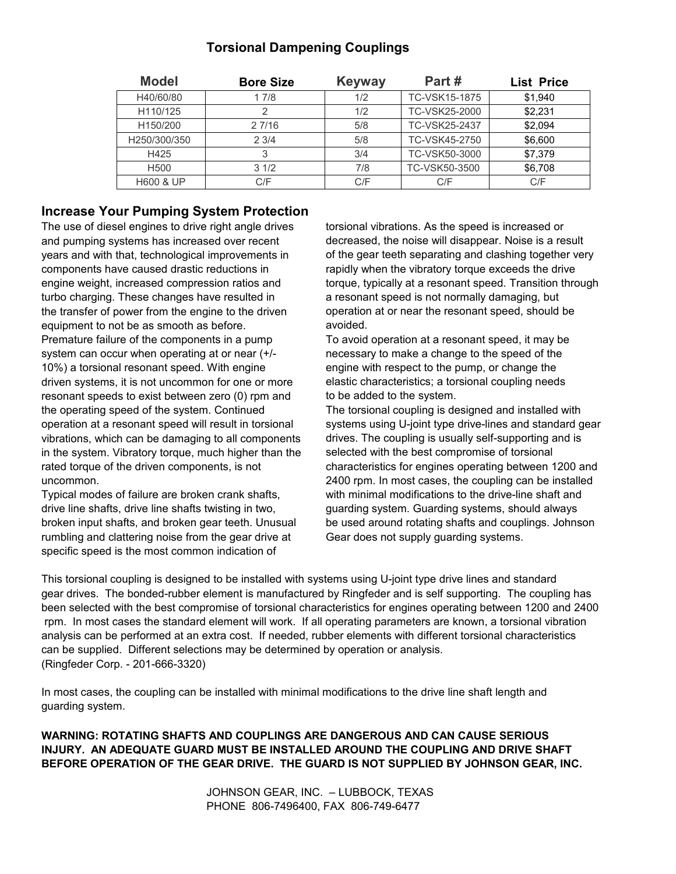# **Torsional Dampening Couplings**

| <b>Model</b>          | <b>Bore Size</b> | <b>Keyway</b> | Part#         | <b>List Price</b> |
|-----------------------|------------------|---------------|---------------|-------------------|
| H40/60/80             | 17/8             | 1/2           | TC-VSK15-1875 | \$1.940           |
| H110/125              | 2                | 1/2           | TC-VSK25-2000 | \$2.231           |
| H <sub>150</sub> /200 | 27/16            | 5/8           | TC-VSK25-2437 | \$2.094           |
| H250/300/350          | 23/4             | 5/8           | TC-VSK45-2750 | \$6,600           |
| H425                  | 3                | 3/4           | TC-VSK50-3000 | \$7,379           |
| H <sub>500</sub>      | 31/2             | 7/8           | TC-VSK50-3500 | \$6,708           |
| <b>H600 &amp; UP</b>  | C/F              | C/F           | C/F           | C/F               |

## **Increase Your Pumping System Protection**

The use of diesel engines to drive right angle drives torsional vibrations. As the speed is increased or and pumping systems has increased over recent decreased, the noise will disappear. Noise is a result components have caused drastic reductions in rapidly when the vibratory torque exceeds the drive turbo charging. These changes have resulted in a resonant speed is not normally damaging, but the transfer of power from the engine to the driven operation at or near the resonant speed, should be equipment to not be as smooth as before. The avoided. Premature failure of the components in a pump To avoid operation at a resonant speed, it may be system can occur when operating at or near  $(+/-$  necessary to make a change to the speed of the 10%) a torsional resonant speed. With engine engine engine with respect to the pump, or change the driven systems, it is not uncommon for one or more elastic characteristics; a torsional coupling needs resonant speeds to exist between zero (0) rpm and to be added to the system. the operating speed of the system. Continued The torsional coupling is designed and installed with vibrations, which can be damaging to all components drives. The coupling is usually self-supporting and is in the system. Vibratory torque, much higher than the selected with the best compromise of torsional

drive line shafts, drive line shafts twisting in two, guarding system. Guarding systems, should always rumbling and clattering noise from the gear drive at Gear does not supply guarding systems. specific speed is the most common indication of

years and with that, technological improvements in of the gear teeth separating and clashing together very engine weight, increased compression ratios and torque, typically at a resonant speed. Transition through

operation at a resonant speed will result in torsional systems using U-joint type drive-lines and standard gear rated torque of the driven components, is not characteristics for engines operating between 1200 and uncommon. 2400 rpm. In most cases, the coupling can be installed Typical modes of failure are broken crank shafts, with minimal modifications to the drive-line shaft and broken input shafts, and broken gear teeth. Unusual be used around rotating shafts and couplings. Johnson

This torsional coupling is designed to be installed with systems using U-joint type drive lines and standard been selected with the best compromise of torsional characteristics for engines operating between 1200 and 2400 rpm. In most cases the standard element will work. If all operating parameters are known, a torsional vibration analysis can be performed at an extra cost. If needed, rubber elements with different torsional characteristics can be supplied. Different selections may be determined by operation or analysis. gear drives. The bonded-rubber element is manufactured by Ringfeder and is self supporting. The coupling has (Ringfeder Corp. - 201-666-3320)

In most cases, the coupling can be installed with minimal modifications to the drive line shaft length and guarding system.

**WARNING: ROTATING SHAFTS AND COUPLINGS ARE DANGEROUS AND CAN CAUSE SERIOUS INJURY. AN ADEQUATE GUARD MUST BE INSTALLED AROUND THE COUPLING AND DRIVE SHAFT BEFORE OPERATION OF THE GEAR DRIVE. THE GUARD IS NOT SUPPLIED BY JOHNSON GEAR, INC.**

> JOHNSON GEAR, INC. – LUBBOCK, TEXAS PHONE 806-7496400, FAX 806-749-6477